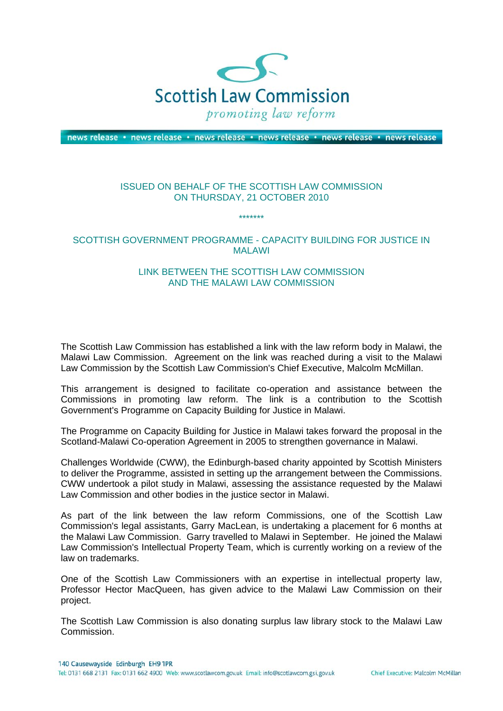

news release · news release · news release · news release · news release · news release

## ISSUED ON BEHALF OF THE SCOTTISH LAW COMMISSION ON THURSDAY, 21 OCTOBER 2010

\*\*\*\*\*\*\*

## SCOTTISH GOVERNMENT PROGRAMME - CAPACITY BUILDING FOR JUSTICE IN MALAWI

## LINK BETWEEN THE SCOTTISH LAW COMMISSION AND THE MALAWI LAW COMMISSION

The Scottish Law Commission has established a link with the law reform body in Malawi, the Malawi Law Commission. Agreement on the link was reached during a visit to the Malawi Law Commission by the Scottish Law Commission's Chief Executive, Malcolm McMillan.

This arrangement is designed to facilitate co-operation and assistance between the Commissions in promoting law reform. The link is a contribution to the Scottish Government's Programme on Capacity Building for Justice in Malawi.

The Programme on Capacity Building for Justice in Malawi takes forward the proposal in the Scotland-Malawi Co-operation Agreement in 2005 to strengthen governance in Malawi.

Challenges Worldwide (CWW), the Edinburgh-based charity appointed by Scottish Ministers to deliver the Programme, assisted in setting up the arrangement between the Commissions. CWW undertook a pilot study in Malawi, assessing the assistance requested by the Malawi Law Commission and other bodies in the justice sector in Malawi.

As part of the link between the law reform Commissions, one of the Scottish Law Commission's legal assistants, Garry MacLean, is undertaking a placement for 6 months at the Malawi Law Commission. Garry travelled to Malawi in September. He joined the Malawi Law Commission's Intellectual Property Team, which is currently working on a review of the law on trademarks.

One of the Scottish Law Commissioners with an expertise in intellectual property law, Professor Hector MacQueen, has given advice to the Malawi Law Commission on their project.

The Scottish Law Commission is also donating surplus law library stock to the Malawi Law Commission.